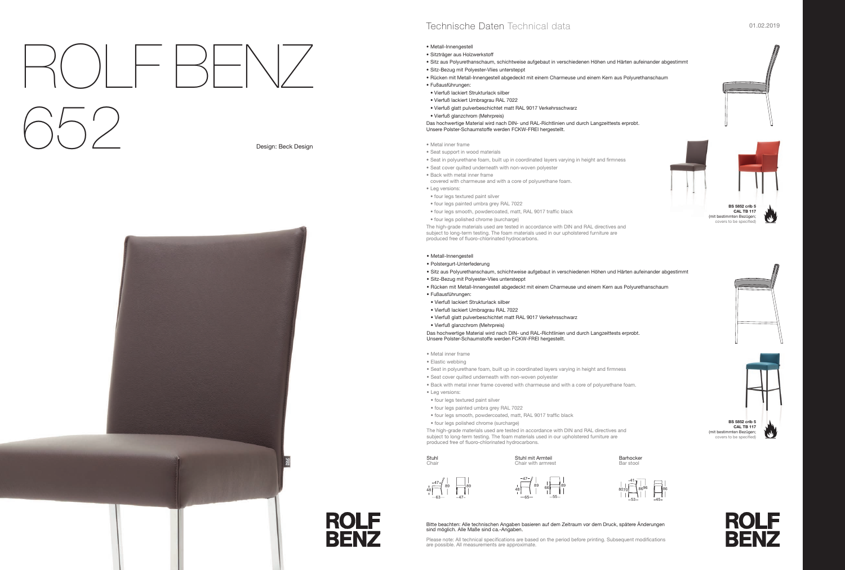



(mit bestimmten Bezügen; overs to be specified









**BS 5852 crib 5 CAL TB 117**  (mit bestimmten Bezügen; covers to be specified









# • Metall-Innengestell

- Sitzträger aus Holzwerkstoff
- Sitz aus Polyurethanschaum, schichtweise aufgebaut in verschiedenen Höhen und Härten aufeinander abgestimmt
- Sitz-Bezug mit Polyester-Vlies untersteppt
- Rücken mit Metall-Innengestell abgedeckt mit einem Charmeuse und einem Kern aus Polyurethanschaum
- Fußausführungen:
- Vierfuß lackiert Strukturlack silber
- Vierfuß lackiert Umbragrau RAL 7022
- Vierfuß glatt pulverbeschichtet matt RAL 9017 Verkehrsschwarz
- Vierfuß glanzchrom (Mehrpreis)

The high-grade materials used are tested in accordance with DIN and RAL directives and subject to long-term testing. The foam materials used in our upholstered furniture are produced free of fluoro-chlorinated hydrocarbons.

Das hochwertige Material wird nach DIN- und RAL-Richtlinien und durch Langzeittests erprobt. Unsere Polster-Schaumstoffe werden FCKW-FREI hergestellt.

- Metal inner frame
- Seat support in wood materials
- Seat in polyurethane foam, built up in coordinated layers varying in height and firmness
- Seat cover quilted underneath with non-woven polyester
- Back with metal inner frame
- covered with charmeuse and with a core of polyurethane foam.
- Leg versions:
- four legs textured paint silver
- four legs painted umbra grey RAL 7022 • four legs smooth, powdercoated, matt, RAL 9017 traffic black
- 
- four legs polished chrome (surcharge)

The high-grade materials used are tested in accordance with DIN and RAL directives and subject to long-term testing. The foam materials used in our upholstered furniture are produced free of fluoro-chlorinated hydrocarbons.

Stuhl **Chair** 

**ROLF** 

**BENZ** 

## • Metall-Innengestell

Please note: All technical specifications are based on the period before printing. Subsequent modifications are possible. All measurements are approximate.

- Polstergurt-Unterfederung
- Sitz aus Polyurethanschaum, schichtweise aufgebaut in verschiedenen Höhen und Härten aufeinander abgestimmt
- Sitz-Bezug mit Polyester-Vlies untersteppt
- Rücken mit Metall-Innengestell abgedeckt mit einem Charmeuse und einem Kern aus Polyurethanschaum
- Fußausführungen:
- Vierfuß lackiert Strukturlack silber
- Vierfuß lackiert Umbragrau RAL 7022
- Vierfuß glatt pulverbeschichtet matt RAL 9017 Verkehrsschwarz
- Vierfuß glanzchrom (Mehrpreis)

Das hochwertige Material wird nach DIN- und RAL-Richtlinien und durch Langzeittests erprobt. Unsere Polster-Schaumstoffe werden FCKW-FREI hergestellt.

- Metal inner frame
- Elastic webbing
- Seat in polyurethane foam, built up in coordinated layers varying in height and firmness
- Seat cover quilted underneath with non-woven polyester
- Back with metal inner frame covered with charmeuse and with a core of polyurethane foam.
- Leg versions:
- four legs textured paint silver
- four legs painted umbra grey RAL 7022
- four legs smooth, powdercoated, matt, RAL 9017 traffic black
- . . . four legs polished chrome (surcharge)

Barhocker Bar stool

### Stuhl mit Armteil Chair with armrest

Design: Beck Design



# Technische Daten Technical data and an annual studies of the contract of the contract of the contract of the contract of the contract of the contract of the contract of the contract of the contract of the contract of the c

# ROLF BENZ 652

Bitte beachten: Alle technischen Angaben basieren auf dem Zeitraum vor dem Druck, spätere Änderungen sind möglich. Alle Maße sind ca.-Angaben.